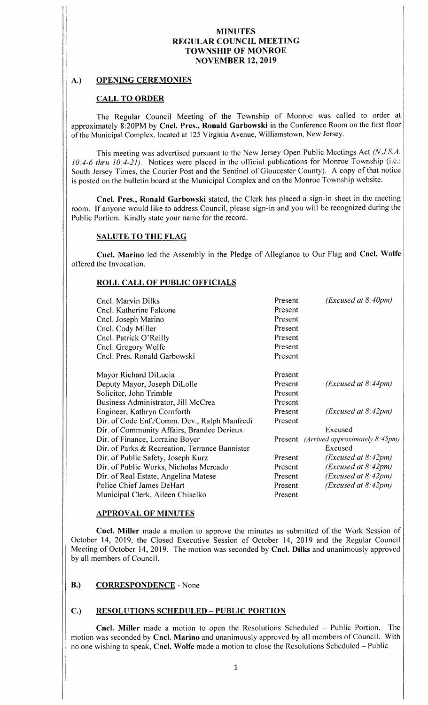# A.) OPENING CEREMONIES

## CALL TO ORDER

The Regular Council Meeting of the Township of Monroe was called to order at approximately 8:20PM by Cncl. Pres., Ronald Garbowski in the Conference Room on the first floor of the Municipal Complex, located at <sup>125</sup> Virginia Avenue, Williamstown, New Jersey.

This meeting was advertised pursuant to the New Jersey Open Public Meetings Act (N.J.S.A.  $10:4-6$  thru  $10:4-21$ ). Notices were placed in the official publications for Monroe Township (i.e.: South Jersey Times, the Courier Post and the Sentinel of Gloucester County). A copy of that notice is posted on the bulletin board at the Municipal Complex and on the Monroe Township website.

Cncl. Pres., Ronald Garbowski stated, the Clerk has placed a sign-in sheet in the meeting room. If anyone would like to address Council, please sign- in and you will be recognized during the Public Portion. Kindly state your name for the record.

# SALUTE TO THE FLAG

Cncl. Marino led the Assembly in the Pledge of Allegiance to Our Flag and Cncl. Wolfe offered the Invocation.

#### ROLL CALL OF PUBLIC OFFICIALS

| Cncl. Marvin Dilks<br>Cncl. Katherine Falcone<br>Cncl. Joseph Marino<br>Cncl. Cody Miller<br>Cncl. Patrick O'Reilly<br>Cncl. Gregory Wolfe<br>Cncl. Pres. Ronald Garbowski | Present<br>Present<br>Present<br>Present<br>Present<br>Present<br>Present | (Excused at 8:40pm)                                      |
|----------------------------------------------------------------------------------------------------------------------------------------------------------------------------|---------------------------------------------------------------------------|----------------------------------------------------------|
| Mayor Richard DiLucia<br>Deputy Mayor, Joseph DiLolle<br>Solicitor, John Trimble<br>Business Administrator, Jill McCrea                                                    | Present<br>Present<br>Present<br>Present                                  | (Excused at 8:44pm)                                      |
| Engineer, Kathryn Cornforth<br>Dir. of Code Enf./Comm. Dev., Ralph Manfredi<br>Dir. of Community Affairs, Brandee Derieux                                                  | Present<br>Present                                                        | (Excused at 8:42pm)<br>Excused                           |
| Dir. of Finance, Lorraine Boyer<br>Dir. of Parks & Recreation, Terrance Bannister                                                                                          |                                                                           | Present <i>(Arrived approximately 8:45pm)</i><br>Excused |
| Dir. of Public Safety, Joseph Kurz                                                                                                                                         | Present                                                                   | (Excused at 8:42pm)                                      |
| Dir. of Public Works, Nicholas Mercado                                                                                                                                     | Present                                                                   | (Excused at 8:42pm)                                      |
| Dir. of Real Estate, Angelina Matese<br>Police Chief James DeHart                                                                                                          | Present<br>Present                                                        | (Excused at 8:42pm)<br>(Excused at 8:42pm)               |
| Municipal Clerk, Aileen Chiselko                                                                                                                                           | Present                                                                   |                                                          |

## APPROVAL OF MINUTES

Cncl. Miller made <sup>a</sup> motion to approve the minutes as submitted of the Work Session of October 14, 2019, the Closed Executive Session of October 14, 2019 and the Regular Council Meeting of October 14, 2019. The motion was seconded by Cncl. Dilks and unanimously approved by all members of Council.

## B.) CORRESPONDENCE - None

## C.) RESOLUTIONS SCHEDULED— PUBLIC PORTION

Cncl. Miller made <sup>a</sup> motion to open the Resolutions Scheduled — Public Portion. The motion was seconded by Cncl. Marino and unanimously approved by all members of Council. With no one wishing to speak, Cncl. Wolfe made <sup>a</sup> motion to close the Resolutions Scheduled— Public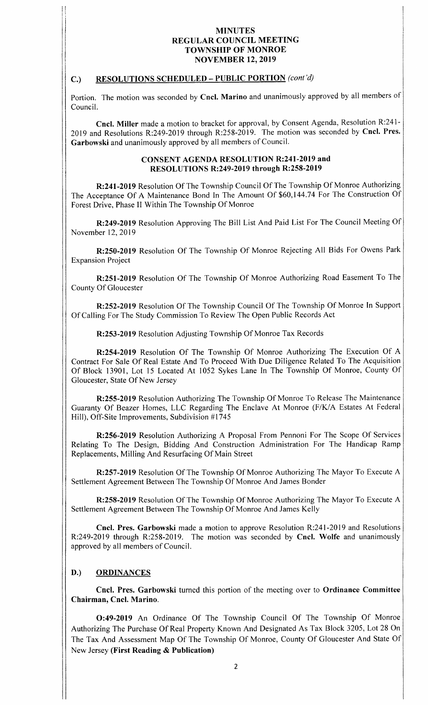### C.) RESOLUTIONS SCHEDULED – PUBLIC PORTION (cont'd)

1E

Portion. The motion was seconded by Cncl. Marino and unanimously approved by all members of Council.

Cncl. Miller made a motion to bracket for approval, by Consent Agenda, Resolution R:241-2019 and Resolutions R:249-2019 through R:258-2019. The motion was seconded by Cncl. Pres. Garbowski and unanimously approved by all members of Council.

#### CONSENT AGENDA RESOLUTION R:241-2019 and RESOLUTIONS R:249-2019 through R:258-2019

R: 241-2019 Resolution Of The Township Council Of The Township Of Monroe Authorizing The Acceptance Of A Maintenance Bond In The Amount Of \$60,144.74 For The Construction Of Forest Drive, Phase II Within The Township Of Monroe

R:249-2019 Resolution Approving The Bill List And Paid List For The Council Meeting Of November 12, 2019

R:250-2019 Resolution Of The Township Of Monroe Rejecting All Bids For Owens Park Expansion Project

R:251-2019 Resolution Of The Township Of Monroe Authorizing Road Easement To The County Of Gloucester

R: 252-2019 Resolution Of The Township Council Of The Township Of Monroe In Support Of Calling For The Study Commission To Review The Open Public Records Act

R: 253-2019 Resolution Adjusting Township Of Monroe Tax Records

R:254-2019 Resolution Of The Township Of Monroe Authorizing The Execution Of A Contract For Sale Of Real Estate And To Proceed With Due Diligence Related To The Acquisition Of Block 13901, Lot <sup>15</sup> Located At 1052 Sykes Lane In The Township Of Monroe, County Of Gloucester, State Of New Jersey

R: 255-2019 Resolution Authorizing The Township Of Monroe To Release The Maintenance Guaranty Of Beazer Homes, LLC Regarding The Enclave At Monroe (F/K/A Estates At Federal Hill), Off-Site Improvements, Subdivision #1745

R: 256- 2019 Resolution Authorizing A Proposal From Pennoni For The Scope Of Services Relating To The Design, Bidding And Construction Administration For The Handicap Ramp Replacements, Milling And Resurfacing Of Main Street

R: 257-2019 Resolution Of The Township Of Monroe Authorizing The Mayor To Execute A Settlement Agreement Between The Township Of Monroe And James Bonder

R: 258-2019 Resolution Of The Township Of Monroe Authorizing The Mayor To Execute A Settlement Agreement Between The Township Of Monroe And James Kelly

Cncl. Pres. Garbowski made a motion to approve Resolution R:241-2019 and Resolutions R: 249-2019 through R: 258-2019. The motion was seconded by Cncl. Wolfe and unanimously approved by all members of Council.

## D.) ORDINANCES

Cncl. Pres. Garbowski turned this portion of the meeting over to Ordinance Committee Chairman, Cncl. Marino.

O:49-2019 An Ordinance Of The Township Council Of The Township Of Monroe Authorizing The Purchase Of Real Property Known And Designated As Tax Block 3205, Lot 28 On The Tax And Assessment Map Of The Township Of Monroe, County Of Gloucester And State Of New Jersey (First Reading  $&$  Publication)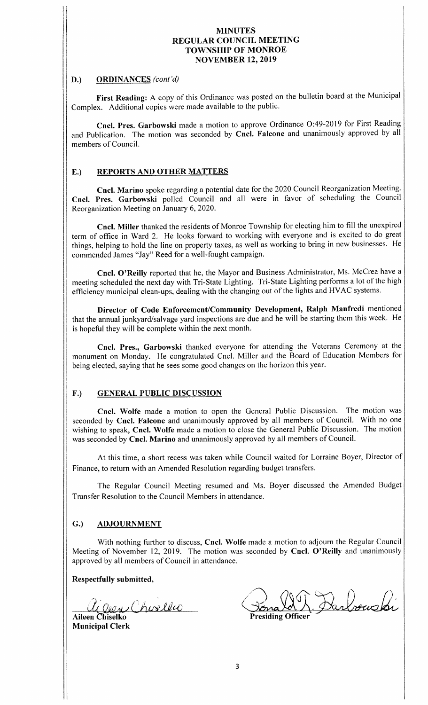# D.) ORDINANCES (cont'd)

. ii

 $\cdot$ 

First Reading: A copy of this Ordinance was posted on the bulletin board at the Municipal Complex. Additional copies were made available to the public.

Cncl. Pres. Garbowski made a motion to approve Ordinance O:49-2019 for First Reading and Publication. The motion was seconded by Cncl. Falcone and unanimously approved by all members of Council.

## E.) REPORTS AND OTHER MATTERS

Cncl. Marino spoke regarding <sup>a</sup> potential date for the 2020 Council Reorganization Meeting. Cncl. Pres. Garbowski polled Council and all were in favor of scheduling the Council Reorganization Meeting on January 6, 2020.

Cncl. Miller thanked the residents of Monroe Township for electing him to fill the unexpired term of office in Ward 2. He looks forward to working with everyone and is excited to do great things, helping to hold the line on property taxes, as well as working to bring in new businesses. He commended James "Jay" Reed for a well-fought campaign.

Cncl. O' Reilly reported that he, the Mayor and Business Administrator, Ms. McCrea have <sup>a</sup> meeting scheduled the next day with Tri- State Lighting. Tri- State Lighting performs <sup>a</sup> lot of the high efficiency municipal clean-ups, dealing with the changing out of the lights and HVAC systems.

Director of Code Enforcement/Community Development, Ralph Manfredi mentioned that the annual junkyard/salvage yard inspections are due and he will be starting them this week. He is hopeful they will be complete within the next month.

Cncl. Pres., Garbowski thanked everyone for attending the Veterans Ceremony at the monument on Monday. He congratulated Cncl. Miller and the Board of Education Members for being elected, saying that he sees some good changes on the horizon this year.

## F.) GENERAL PUBLIC DISCUSSION

Cncl. Wolfe made <sup>a</sup> motion to open the General Public Discussion. The motion was seconded by Cncl. Falcone and unanimously approved by all members of Council. With no one wishing to speak, Cncl. Wolfe made <sup>a</sup> motion to close the General Public Discussion. The motion was seconded by Cncl. Marino and unanimously approved by all members of Council.

1 At this time, a short recess was taken while Council waited for Lorraine Boyer, Director of Finance, to return with an Amended Resolution regarding budget transfers.

The Regular Council Meeting resumed and Ms. Boyer discussed the Amended Budget Transfer Resolution to the Council Members in attendance.

## G.) ADJOURNMENT

With nothing further to discuss, Cncl. Wolfe made a motion to adjourn the Regular Council Meeting of November 12, 2019. The motion was seconded by Cncl. O'Reilly and unanimously approved by all members of Council in attendance.

Respectfully submitted,

agen Choeles Aileen Chiselko Presiding Officer

Municipal Clerk

Darbourki